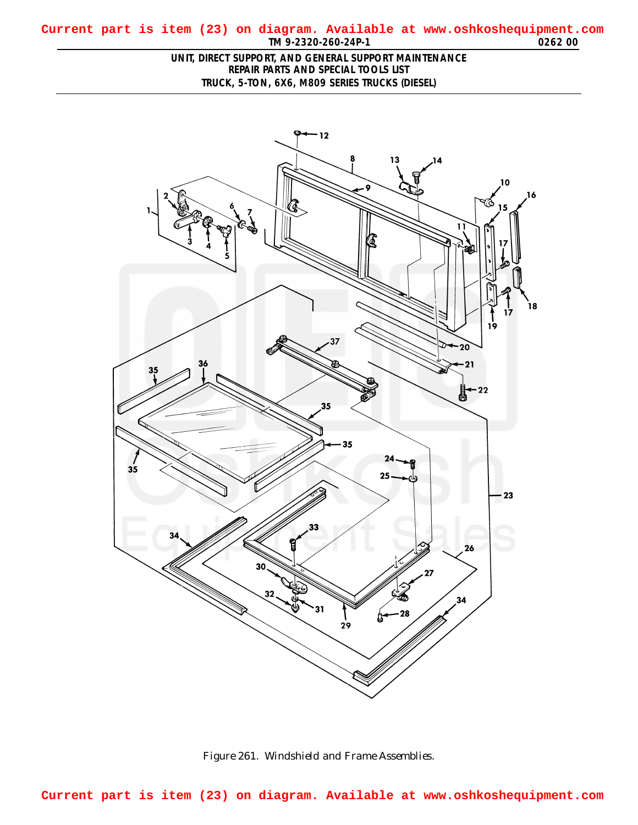## <span id="page-0-0"></span>**TM 9-2320-260-24P-1 0262 00 Current part is item (23) on diagram. Available at www.oshkoshequipment.com**

## **UNIT, DIRECT SUPPORT, AND GENERAL SUPPORT MAINTENANCE REPAIR PARTS AND SPECIAL TOOLS LIST TRUCK, 5-TON, 6X6, M809 SERIES TRUCKS (DIESEL)**



*Figure 261. Windshield and Frame Assemblies.*

**Current part is item (23) on diagram. Available at www.oshkoshequipment.com**